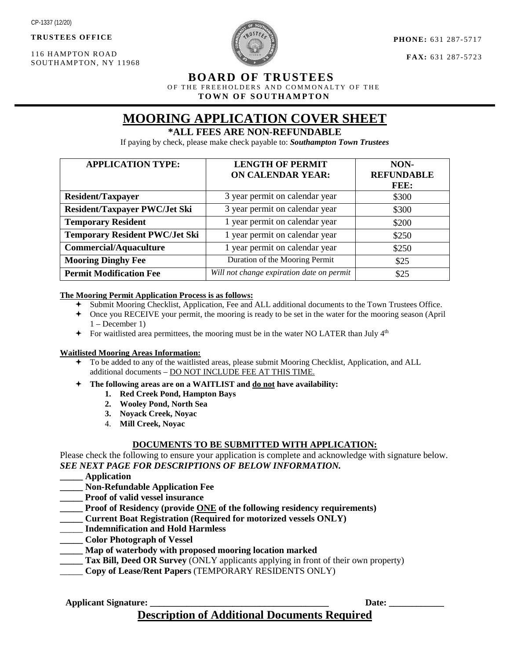**TRUSTEES OFFICE**

116 HAMPTON ROAD SOUTHAMPTON, NY 11968



**PHONE:** 631 287-5717

**FAX:** 631 287-5723

### **BOARD OF TRUSTEES**

OF THE FREEHOLDERS AND COMMONALTY OF THE

 **TOWN OF SOUTHAMPTON**

# **MOORING APPLICATION COVER SHEET**

### **\*ALL FEES ARE NON-REFUNDABLE**

If paying by check, please make check payable to: *Southampton Town Trustees*

| <b>APPLICATION TYPE:</b>              | <b>LENGTH OF PERMIT</b><br><b>ON CALENDAR YEAR:</b> | NON-<br><b>REFUNDABLE</b> |
|---------------------------------------|-----------------------------------------------------|---------------------------|
|                                       |                                                     | FEE:                      |
| <b>Resident/Taxpayer</b>              | 3 year permit on calendar year                      | \$300                     |
| <b>Resident/Taxpayer PWC/Jet Ski</b>  | 3 year permit on calendar year                      | \$300                     |
| <b>Temporary Resident</b>             | 1 year permit on calendar year                      | \$200                     |
| <b>Temporary Resident PWC/Jet Ski</b> | 1 year permit on calendar year                      | \$250                     |
| <b>Commercial/Aquaculture</b>         | 1 year permit on calendar year                      | \$250                     |
| <b>Mooring Dinghy Fee</b>             | Duration of the Mooring Permit                      | \$25                      |
| <b>Permit Modification Fee</b>        | Will not change expiration date on permit           | \$25                      |

### **The Mooring Permit Application Process is as follows:**

- Submit Mooring Checklist, Application, Fee and ALL additional documents to the Town Trustees Office.
- Once you RECEIVE your permit, the mooring is ready to be set in the water for the mooring season (April 1 – December 1)
- $\div$  For waitlisted area permittees, the mooring must be in the water NO LATER than July  $4<sup>th</sup>$

### **Waitlisted Mooring Areas Information:**

- To be added to any of the waitlisted areas, please submit Mooring Checklist, Application, and ALL additional documents – DO NOT INCLUDE FEE AT THIS TIME.
- **The following areas are on a WAITLIST and do not have availability:**
	- **1. Red Creek Pond, Hampton Bays**
	- **2. Wooley Pond, North Sea**
	- **3. Noyack Creek, Noyac**
	- 4. **Mill Creek, Noyac**

### **DOCUMENTS TO BE SUBMITTED WITH APPLICATION:**

Please check the following to ensure your application is complete and acknowledge with signature below. *SEE NEXT PAGE FOR DESCRIPTIONS OF BELOW INFORMATION.*

- **\_\_\_\_\_ Application**
- **\_\_\_\_\_ Non-Refundable Application Fee**
- **\_\_\_\_\_ Proof of valid vessel insurance**
- **\_\_\_\_\_ Proof of Residency (provide ONE of the following residency requirements)**
- **\_\_\_\_\_ Current Boat Registration (Required for motorized vessels ONLY)**
- \_\_\_\_\_ **Indemnification and Hold Harmless**
- **\_\_\_\_\_ Color Photograph of Vessel**
- **\_\_\_\_\_ Map of waterbody with proposed mooring location marked**
- **Tax Bill, Deed OR Survey** (ONLY applicants applying in front of their own property)
- \_\_\_\_\_ **Copy of Lease/Rent Papers** (TEMPORARY RESIDENTS ONLY)

**Applicant Signature: \_\_\_\_\_\_\_\_\_\_\_\_\_\_\_\_\_\_\_\_\_\_\_\_\_\_\_\_\_\_\_\_\_\_\_\_\_\_\_ Date: \_\_\_\_\_\_\_\_\_\_\_\_** 

**Description of Additional Documents Required**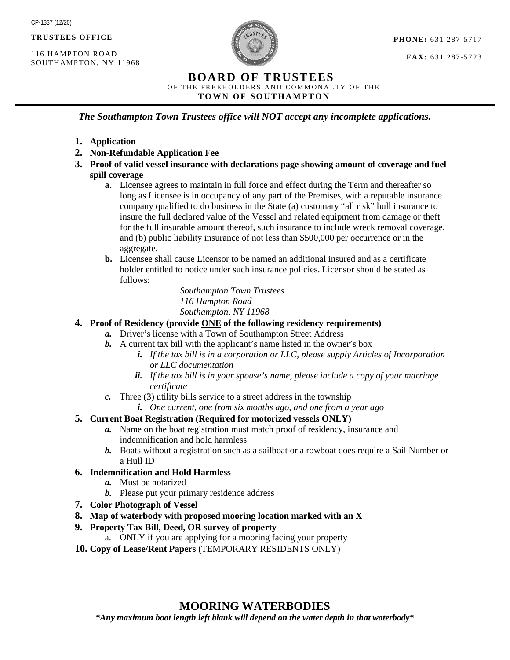**TRUSTEES OFFICE**

116 HAMPTON ROAD SOUTHAMPTON, NY 11968



**FAX:** 631 287-5723

### **BOARD OF TRUSTEES**

OF THE FREEHOLDERS AND COMMONALTY OF THE

 **TOWN OF SOUTHAMPTON**

*The Southampton Town Trustees office will NOT accept any incomplete applications.*

- **1. Application**
- **2. Non-Refundable Application Fee**
- **3. Proof of valid vessel insurance with declarations page showing amount of coverage and fuel spill coverage**
	- **a.** Licensee agrees to maintain in full force and effect during the Term and thereafter so long as Licensee is in occupancy of any part of the Premises, with a reputable insurance company qualified to do business in the State (a) customary "all risk" hull insurance to insure the full declared value of the Vessel and related equipment from damage or theft for the full insurable amount thereof, such insurance to include wreck removal coverage, and (b) public liability insurance of not less than \$500,000 per occurrence or in the aggregate.
	- **b.** Licensee shall cause Licensor to be named an additional insured and as a certificate holder entitled to notice under such insurance policies. Licensor should be stated as follows:

*Southampton Town Trustees 116 Hampton Road Southampton, NY 11968*

### **4. Proof of Residency (provide ONE of the following residency requirements)**

- *a.* Driver's license with a Town of Southampton Street Address
- *b.* A current tax bill with the applicant's name listed in the owner's box
	- *i. If the tax bill is in a corporation or LLC, please supply Articles of Incorporation or LLC documentation*
	- *ii. If the tax bill is in your spouse's name, please include a copy of your marriage certificate*
- *c.* Three (3) utility bills service to a street address in the township
	- *i. One current, one from six months ago, and one from a year ago*

### **5. Current Boat Registration (Required for motorized vessels ONLY)**

- *a.* Name on the boat registration must match proof of residency, insurance and indemnification and hold harmless
- *b.* Boats without a registration such as a sailboat or a rowboat does require a Sail Number or a Hull ID

### **6. Indemnification and Hold Harmless**

- *a.* Must be notarized
- *b.* Please put your primary residence address
- **7. Color Photograph of Vessel**
- **8. Map of waterbody with proposed mooring location marked with an X**
- **9. Property Tax Bill, Deed, OR survey of property**
	- a. ONLY if you are applying for a mooring facing your property
- **10. Copy of Lease/Rent Papers** (TEMPORARY RESIDENTS ONLY)

### **MOORING WATERBODIES**

*\*Any maximum boat length left blank will depend on the water depth in that waterbody\**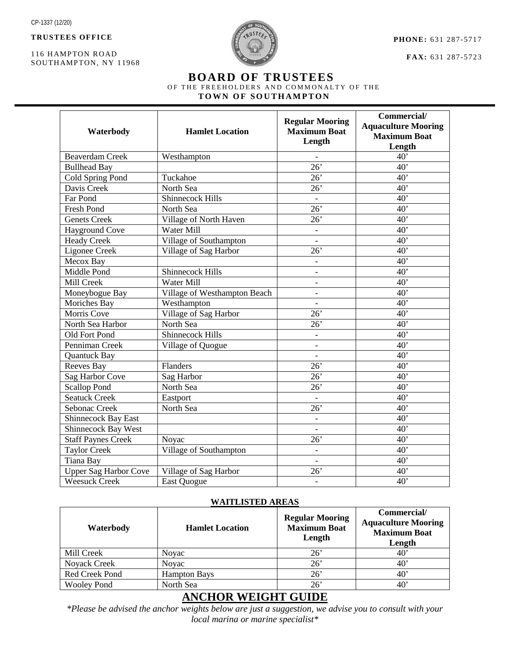**TRUSTEES OFFICE**

116 HAMPTON ROAD SOUTHAMPTON, NY 11968



**PHONE:** 631 287-5717

**FAX:** 631 287-5723

# **BOARD OF TRUSTEES** OF THE FREEHOLDERS AND COMMONALTY OF THE

 **TOWN OF SOUTHAMPTON**

| Waterbody                    | <b>Hamlet Location</b>       | <b>Regular Mooring</b><br><b>Maximum Boat</b><br>Length | Commercial/<br><b>Aquaculture Mooring</b><br><b>Maximum Boat</b><br>Length |
|------------------------------|------------------------------|---------------------------------------------------------|----------------------------------------------------------------------------|
| <b>Beaverdam Creek</b>       | Westhampton                  |                                                         | 40'                                                                        |
| <b>Bullhead Bay</b>          |                              | $\overline{26}$                                         | $\overline{40}$                                                            |
| Cold Spring Pond             | Tuckahoe                     | 26'                                                     | 40'                                                                        |
| Davis Creek                  | North Sea                    | 26'                                                     | $\overline{40}$                                                            |
| Far Pond                     | <b>Shinnecock Hills</b>      |                                                         | $\overline{40}$                                                            |
| Fresh Pond                   | North Sea                    | 26'                                                     | 40'                                                                        |
| <b>Genets</b> Creek          | Village of North Haven       | 26'                                                     | 40'                                                                        |
| <b>Hayground Cove</b>        | Water Mill                   | $\overline{\phantom{a}}$                                | 40'                                                                        |
| <b>Heady Creek</b>           | Village of Southampton       |                                                         | 40'                                                                        |
| Ligonee Creek                | Village of Sag Harbor        | $\overline{26}$                                         | 40'                                                                        |
| Mecox Bay                    |                              | $\overline{\phantom{a}}$                                | 40'                                                                        |
| Middle Pond                  | <b>Shinnecock Hills</b>      | $\overline{\phantom{a}}$                                | 40'                                                                        |
| Mill Creek                   | Water Mill                   | $\overline{a}$                                          | 40'                                                                        |
| Moneybogue Bay               | Village of Westhampton Beach | $\overline{\phantom{a}}$                                | 40'                                                                        |
| Moriches Bay                 | Westhampton                  | $\overline{\phantom{0}}$                                | 40'                                                                        |
| <b>Morris Cove</b>           | Village of Sag Harbor        | 26'                                                     | 40'                                                                        |
| North Sea Harbor             | North Sea                    | 26'                                                     | 40'                                                                        |
| Old Fort Pond                | <b>Shinnecock Hills</b>      | $\overline{a}$                                          | 40'                                                                        |
| Penniman Creek               | Village of Quogue            |                                                         | 40'                                                                        |
| <b>Quantuck Bay</b>          |                              |                                                         | 40'                                                                        |
| Reeves Bay                   | Flanders                     | $\overline{26}$                                         | $\overline{40}$                                                            |
| Sag Harbor Cove              | Sag Harbor                   | 26'                                                     | 40'                                                                        |
| <b>Scallop Pond</b>          | North Sea                    | $\overline{26}$                                         | $\overline{40}$                                                            |
| <b>Seatuck Creek</b>         | Eastport                     |                                                         | 40'                                                                        |
| Sebonac Creek                | North Sea                    | 26'                                                     | 40'                                                                        |
| <b>Shinnecock Bay East</b>   |                              | $\overline{\phantom{a}}$                                | 40'                                                                        |
| Shinnecock Bay West          |                              | $\overline{\phantom{a}}$                                | 40'                                                                        |
| <b>Staff Paynes Creek</b>    | Noyac                        | 26'                                                     | 40'                                                                        |
| Taylor Creek                 | Village of Southampton       | $\overline{a}$                                          | 40'                                                                        |
| <b>Tiana Bay</b>             |                              | $\overline{\phantom{a}}$                                | 40'                                                                        |
| <b>Upper Sag Harbor Cove</b> | Village of Sag Harbor        | 26'                                                     | 40'                                                                        |
| <b>Weesuck Creek</b>         | East Quogue                  | $\overline{\phantom{a}}$                                | 40'                                                                        |

### **WAITLISTED AREAS**

| Waterbody          | <b>Hamlet Location</b> | <b>Regular Mooring</b><br><b>Maximum Boat</b><br>Length | Commercial/<br><b>Aquaculture Mooring</b><br><b>Maximum Boat</b><br>Length |
|--------------------|------------------------|---------------------------------------------------------|----------------------------------------------------------------------------|
| Mill Creek         | Novac                  | $26^{\circ}$                                            | 40'                                                                        |
| Noyack Creek       | <b>Novac</b>           | $26^{\circ}$                                            | $40^{\circ}$                                                               |
| Red Creek Pond     | <b>Hampton Bays</b>    | 26'                                                     | $40^{\circ}$                                                               |
| <b>Wooley Pond</b> | North Sea              | $26^{\circ}$                                            | $40^{\circ}$                                                               |

## **ANCHOR WEIGHT GUIDE**

*\*Please be advised the anchor weights below are just a suggestion, we advise you to consult with your local marina or marine specialist\**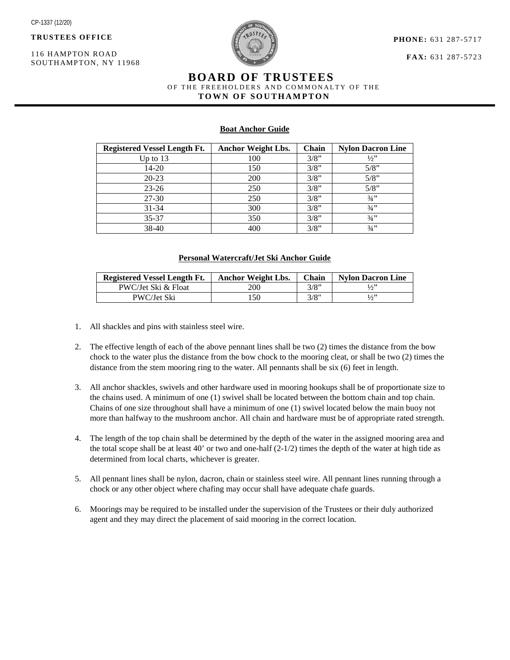**TRUSTEES OFFICE**

116 HAMPTON ROAD SOUTHAMPTON, NY 11968



**PHONE:** 631 287-5717

**FAX:** 631 287-5723

# **BOARD OF TRUSTEES** OF THE FREEHOLDERS AND COMMONALTY OF THE  **TOWN OF SOUTHAMPTON**

### **Boat Anchor Guide**

| Registered Vessel Length Ft. | <b>Anchor Weight Lbs.</b> | Chain | <b>Nylon Dacron Line</b> |
|------------------------------|---------------------------|-------|--------------------------|
| Up to $13$                   | 100                       | 3/8"  | 1/2                      |
| $14 - 20$                    | 150                       | 3/8"  | 5/8"                     |
| $20 - 23$                    | 200                       | 3/8"  | 5/8"                     |
| $23 - 26$                    | 250                       | 3/8"  | 5/8"                     |
| 27-30                        | 250                       | 3/8"  | $3/4$ "                  |
| $31 - 34$                    | 300                       | 3/8"  | 3/4                      |
| 35-37                        | 350                       | 3/8"  | $3/4$ "                  |
| $38-40$                      | 400                       | 3/8"  | $3/4$ "                  |

#### **Personal Watercraft/Jet Ski Anchor Guide**

| <b>Registered Vessel Length Ft.</b> | <b>Anchor Weight Lbs.</b> | Chain | <b>Nylon Dacron Line</b> |
|-------------------------------------|---------------------------|-------|--------------------------|
| PWC/Jet Ski & Float                 | 200                       | 3/8"  |                          |
| PWC/Jet Ski                         | .50                       | 3/8"  | l/3''                    |

- 1. All shackles and pins with stainless steel wire.
- 2. The effective length of each of the above pennant lines shall be two (2) times the distance from the bow chock to the water plus the distance from the bow chock to the mooring cleat, or shall be two (2) times the distance from the stem mooring ring to the water. All pennants shall be six (6) feet in length.
- 3. All anchor shackles, swivels and other hardware used in mooring hookups shall be of proportionate size to the chains used. A minimum of one (1) swivel shall be located between the bottom chain and top chain. Chains of one size throughout shall have a minimum of one (1) swivel located below the main buoy not more than halfway to the mushroom anchor. All chain and hardware must be of appropriate rated strength.
- 4. The length of the top chain shall be determined by the depth of the water in the assigned mooring area and the total scope shall be at least 40' or two and one-half  $(2-1/2)$  times the depth of the water at high tide as determined from local charts, whichever is greater.
- 5. All pennant lines shall be nylon, dacron, chain or stainless steel wire. All pennant lines running through a chock or any other object where chafing may occur shall have adequate chafe guards.
- 6. Moorings may be required to be installed under the supervision of the Trustees or their duly authorized agent and they may direct the placement of said mooring in the correct location.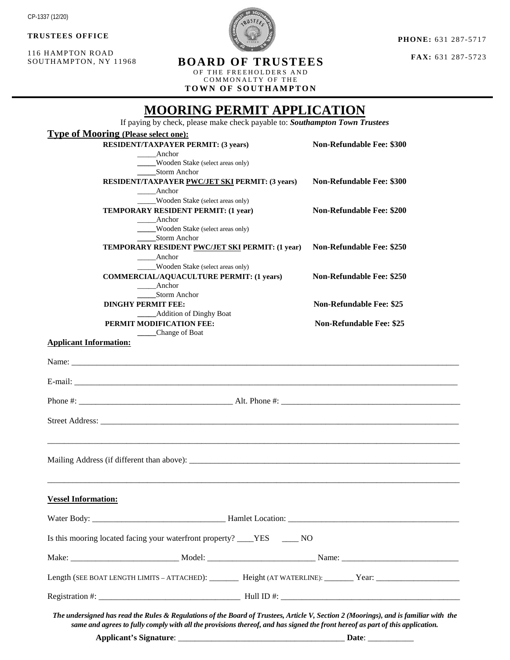**TRUSTEES OFFICE** 

116 HAMPTON ROAD SOUTHAMPTON, NY 11968

**PHONE:** 631 287-5717

**FAX:** 631 287-5723

OF THE FREEHOLDERS A ND COMMONALTY OF THE

**TOWN OF SOUTHAMPTON**

# **MOORING PERMIT APPLICATION** If paying by check, please make check payable to: *Southampton Town Trustees* **Type of Mooring (Please select one): RESIDENT/TAXPAYER PERMIT: (3 years)** Non-Refundable Fee: \$300 \_\_\_\_\_Anchor **\_\_\_\_\_**Wooden Stake (select areas only) **\_\_\_\_\_**Storm Anchor **RESIDENT/TAXPAYER PWC/JET SKI PERMIT: (3 years) Non-Refundable Fee: \$300** \_\_\_\_\_Anchor \_\_\_\_\_Wooden Stake (select areas only) **TEMPORARY RESIDENT PERMIT: (1 year)** Non-Refundable Fee: \$200 \_\_\_\_\_Anchor **\_\_\_\_\_**Wooden Stake (select areas only) **\_\_\_\_\_**Storm Anchor **TEMPORARY RESIDENT PWC/JET SKI PERMIT: (1 year) Non-Refundable Fee: \$250** \_\_\_\_\_Anchor \_\_\_\_\_Wooden Stake (select areas only) **COMMERCIAL/AQUACULTURE PERMIT: (1 years) Non-Refundable Fee: \$250** \_\_\_\_\_Anchor **\_\_\_\_\_**Storm Anchor **DINGHY PERMIT FEE:** Non-Refundable Fee: \$25  **\_\_\_\_\_**Addition of Dinghy Boat **PERMIT MODIFICATION FEE:** Non-Refundable Fee: \$25  **\_\_\_\_\_**Change of Boat **Applicant Information:** Name: E-mail: \_\_\_\_\_\_\_\_\_\_\_\_\_\_\_\_\_\_\_\_\_\_\_\_\_\_\_\_\_\_\_\_\_\_\_\_\_\_\_\_\_\_\_\_\_\_\_\_\_\_\_\_\_\_\_\_\_\_\_\_\_\_\_\_\_\_\_\_\_\_\_\_\_\_\_\_\_\_\_\_\_\_\_\_\_\_\_\_\_\_\_\_ Phone #:  $\qquad \qquad$  Alt. Phone #: Street Address: \_\_\_\_\_\_\_\_\_\_\_\_\_\_\_\_\_\_\_\_\_\_\_\_\_\_\_\_\_\_\_\_\_\_\_\_\_\_\_\_\_\_\_\_\_\_\_\_\_\_\_\_\_\_\_\_\_\_\_\_\_\_\_\_\_\_\_\_\_\_\_\_\_\_\_\_\_\_\_\_\_\_\_\_\_\_ \_\_\_\_\_\_\_\_\_\_\_\_\_\_\_\_\_\_\_\_\_\_\_\_\_\_\_\_\_\_\_\_\_\_\_\_\_\_\_\_\_\_\_\_\_\_\_\_\_\_\_\_\_\_\_\_\_\_\_\_\_\_\_\_\_\_\_\_\_\_\_\_\_\_\_\_\_\_\_\_\_\_\_\_\_\_\_\_\_\_\_\_\_\_\_\_\_\_\_ Mailing Address (if different than above): \_\_\_\_\_\_\_\_\_\_\_\_\_\_\_\_\_\_\_\_\_\_\_\_\_\_\_\_\_\_\_\_\_\_\_\_\_\_\_\_\_\_\_\_\_\_\_\_\_\_\_\_\_\_\_\_\_\_\_\_\_\_\_\_\_\_\_\_\_\_\_\_\_\_\_\_\_\_\_\_\_\_\_\_\_\_\_\_\_\_\_\_\_\_\_\_\_\_\_ **Vessel Information:** Water Body: \_\_\_\_\_\_\_\_\_\_\_\_\_\_\_\_\_\_\_\_\_\_\_\_\_\_\_\_\_\_\_\_ Hamlet Location: \_\_\_\_\_\_\_\_\_\_\_\_\_\_\_\_\_\_\_\_\_\_\_\_\_\_\_\_\_\_\_\_\_\_\_\_\_\_\_\_\_ Is this mooring located facing your waterfront property? \_\_\_\_YES \_\_\_\_ NO Make: \_\_\_\_\_\_\_\_\_\_\_\_\_\_\_\_\_\_\_\_\_\_\_\_\_\_ Model: \_\_\_\_\_\_\_\_\_\_\_\_\_\_\_\_\_\_\_\_\_\_\_\_\_\_ Name: \_\_\_\_\_\_\_\_\_\_\_\_\_\_\_\_\_\_\_\_\_\_\_\_\_\_\_\_ Length (SEE BOAT LENGTH LIMITS – ATTACHED): \_\_\_\_\_\_\_\_ Height (AT WATERLINE): \_\_\_\_\_\_\_ Year: \_\_\_\_\_\_\_\_\_\_\_\_\_\_\_\_\_\_\_\_ Registration  $\#$ :

The undersigned has read the Rules & Regulations of the Board of Trustees, Article V, Section 2 (Moorings), and is familiar with the same and agrees to fully comply with all the provisions thereof, and has signed the front hereof as part of this application.

**Applicant's Signature**: \_\_\_\_\_\_\_\_\_\_\_\_\_\_\_\_\_\_\_\_\_\_\_\_\_\_\_\_\_\_\_\_\_\_\_\_\_\_\_\_ **Date**: \_\_\_\_\_\_\_\_\_\_\_

**BOARD OF TRUSTEES**